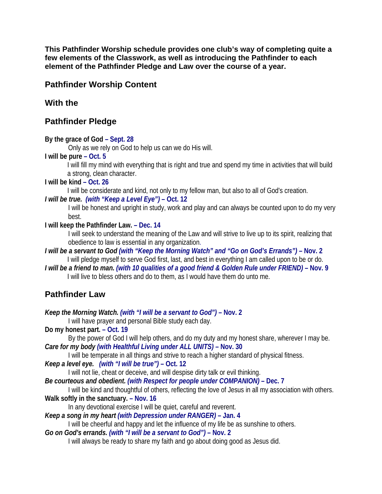**This Pathfinder Worship schedule provides one club's way of completing quite a few elements of the Classwork, as well as introducing the Pathfinder to each element of the Pathfinder Pledge and Law over the course of a year.** 

# **Pathfinder Worship Content**

# **With the**

# **Pathfinder Pledge**

**By the grace of God – Sept. 28**

Only as we rely on God to help us can we do His will.

## **I will be pure – Oct. 5**

I will fill my mind with everything that is right and true and spend my time in activities that will build a strong, clean character.

## **I will be kind – Oct. 26**

I will be considerate and kind, not only to my fellow man, but also to all of God's creation.

## *I will be true. (with "Keep a Level Eye")* **– Oct. 12**

I will be honest and upright in study, work and play and can always be counted upon to do my very best.

## **I will keep the Pathfinder Law. – Dec. 14**

I will seek to understand the meaning of the Law and will strive to live up to its spirit, realizing that obedience to law is essential in any organization.

*I will be a servant to God (with "Keep the Morning Watch" and "Go on God's Errands")* **– Nov. 2** I will pledge myself to serve God first, last, and best in everything I am called upon to be or do.

*I will be a friend to man. (with 10 qualities of a good friend & Golden Rule under FRIEND)* **– Nov. 9** I will live to bless others and do to them, as I would have them do unto me.

# **Pathfinder Law**

*Keep the Morning Watch. (with "I will be a servant to God")* **– Nov. 2**  I will have prayer and personal Bible study each day. **Do my honest part. – Oct. 19** By the power of God I will help others, and do my duty and my honest share, wherever I may be. *Care for my body (with Healthful Living under ALL UNITS)* **– Nov. 30** I will be temperate in all things and strive to reach a higher standard of physical fitness. *Keep a level eye. (with "I will be true")* **– Oct. 12** I will not lie, cheat or deceive, and will despise dirty talk or evil thinking. *Be courteous and obedient. (with Respect for people under COMPANION)* **– Dec. 7** I will be kind and thoughtful of others, reflecting the love of Jesus in all my association with others. **Walk softly in the sanctuary. – Nov. 16** In any devotional exercise I will be quiet, careful and reverent. *Keep a song in my heart (with Depression under RANGER)* **– Jan. 4** I will be cheerful and happy and let the influence of my life be as sunshine to others. *Go on God's errands. (with "I will be a servant to God")* **– Nov. 2** I will always be ready to share my faith and go about doing good as Jesus did.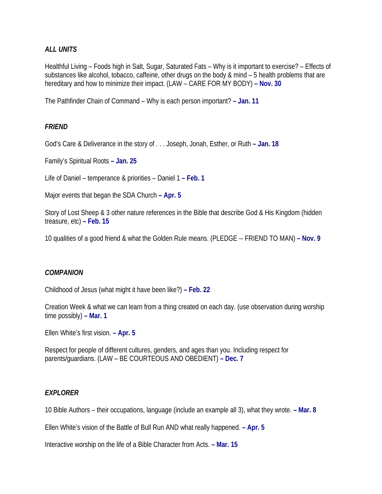## *ALL UNITS*

Healthful Living – Foods high in Salt, Sugar, Saturated Fats – Why is it important to exercise? – Effects of substances like alcohol, tobacco, caffeine, other drugs on the body & mind – 5 health problems that are hereditary and how to minimize their impact. (LAW – CARE FOR MY BODY) **– Nov. 30**

The Pathfinder Chain of Command – Why is each person important? **– Jan. 11**

## *FRIEND*

God's Care & Deliverance in the story of . . . Joseph, Jonah, Esther, or Ruth **– Jan. 18**

Family's Spiritual Roots **– Jan. 25**

Life of Daniel – temperance & priorities – Daniel 1 **– Feb. 1**

Major events that began the SDA Church **– Apr. 5**

Story of Lost Sheep & 3 other nature references in the Bible that describe God & His Kingdom (hidden treasure, etc) **– Feb. 15**

10 qualities of a good friend & what the Golden Rule means. (PLEDGE -- FRIEND TO MAN) **– Nov. 9**

#### *COMPANION*

Childhood of Jesus (what might it have been like?) **– Feb. 22**

Creation Week & what we can learn from a thing created on each day. (use observation during worship time possibly) **– Mar. 1**

Ellen White's first vision. **– Apr. 5**

Respect for people of different cultures, genders, and ages than you. Including respect for parents/guardians. (LAW – BE COURTEOUS AND OBEDIENT) **– Dec. 7**

### *EXPLORER*

10 Bible Authors – their occupations, language (include an example all 3), what they wrote. **– Mar. 8**

Ellen White's vision of the Battle of Bull Run AND what really happened. **– Apr. 5**

Interactive worship on the life of a Bible Character from Acts. **– Mar. 15**